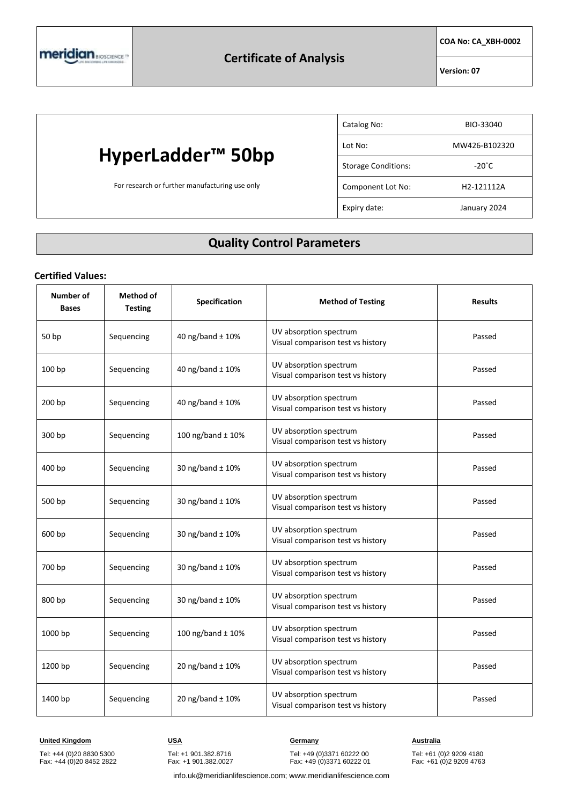**COA No: CA\_XBH-0002**

**Version: 07**

## **HyperLadder™ 50bp**

For research or further manufacturing use only

| Catalog No:                | BIO-33040               |
|----------------------------|-------------------------|
| Lot No:                    | MW426-B102320           |
| <b>Storage Conditions:</b> | $-20^{\circ}$ C         |
| Component Lot No:          | H <sub>2</sub> -121112A |
| Expiry date:               | January 2024            |

### **Quality Control Parameters**

### **Certified Values:**

| Number of<br><b>Bases</b> | <b>Method of</b><br><b>Testing</b> | Specification         | <b>Method of Testing</b>                                    | <b>Results</b> |
|---------------------------|------------------------------------|-----------------------|-------------------------------------------------------------|----------------|
| 50 bp                     | Sequencing                         | 40 ng/band ± 10%      | UV absorption spectrum<br>Visual comparison test vs history | Passed         |
| 100 bp                    | Sequencing                         | 40 ng/band ± 10%      | UV absorption spectrum<br>Visual comparison test vs history | Passed         |
| 200 bp                    | Sequencing                         | 40 ng/band ± 10%      | UV absorption spectrum<br>Visual comparison test vs history | Passed         |
| 300 bp                    | Sequencing                         | 100 ng/band $\pm$ 10% | UV absorption spectrum<br>Visual comparison test vs history | Passed         |
| 400 bp                    | Sequencing                         | 30 ng/band ± 10%      | UV absorption spectrum<br>Visual comparison test vs history | Passed         |
| 500 bp                    | Sequencing                         | 30 ng/band ± 10%      | UV absorption spectrum<br>Visual comparison test vs history | Passed         |
| 600 bp                    | Sequencing                         | 30 ng/band ± 10%      | UV absorption spectrum<br>Visual comparison test vs history | Passed         |
| 700 bp                    | Sequencing                         | 30 ng/band ± 10%      | UV absorption spectrum<br>Visual comparison test vs history | Passed         |
| 800 bp                    | Sequencing                         | 30 ng/band ± 10%      | UV absorption spectrum<br>Visual comparison test vs history | Passed         |
| 1000 bp                   | Sequencing                         | 100 ng/band ± 10%     | UV absorption spectrum<br>Visual comparison test vs history | Passed         |
| 1200 bp                   | Sequencing                         | 20 ng/band $\pm$ 10%  | UV absorption spectrum<br>Visual comparison test vs history | Passed         |
| 1400 bp                   | Sequencing                         | 20 ng/band ± 10%      | UV absorption spectrum<br>Visual comparison test vs history | Passed         |

**United Kingdom USA Germany Australia**

Tel: +44 (0)20 8830 5300 Fax: +44 (0)20 8452 2822

Tel: +1 901.382.8716 Fax: +1 901.382.0027

Tel: +49 (0)3371 60222 00 Fax: +49 (0)3371 60222 01

Tel: +61 (0)2 9209 4180 Fax: +61 (0)2 9209 4763

info.uk@meridianlifescience.com; www.meridianlifescience.com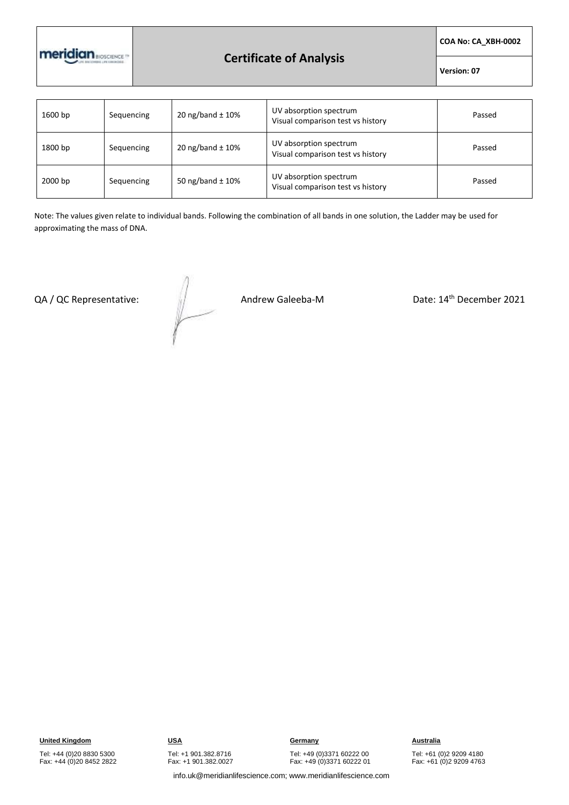

## **Certificate of Analysis**

**COA No: CA\_XBH-0002**

**Version: 07**

| 1600 bp | Sequencing | 20 ng/band $\pm$ 10% | UV absorption spectrum<br>Visual comparison test vs history | Passed |
|---------|------------|----------------------|-------------------------------------------------------------|--------|
| 1800 bp | Sequencing | 20 ng/band $\pm$ 10% | UV absorption spectrum<br>Visual comparison test vs history | Passed |
| 2000 bp | Sequencing | 50 ng/band $\pm$ 10% | UV absorption spectrum<br>Visual comparison test vs history | Passed |

Note: The values given relate to individual bands. Following the combination of all bands in one solution, the Ladder may be used for approximating the mass of DNA.

QA / QC Representative:  $\sqrt{2}$  Andrew Galeeba-M Date: 14<sup>th</sup> December 2021

Tel: +49 (0)3371 60222 00

Fax: +49 (0)3371 60222 01

Tel: +61 (0)2 9209 4180 Fax: +61 (0)2 9209 4763